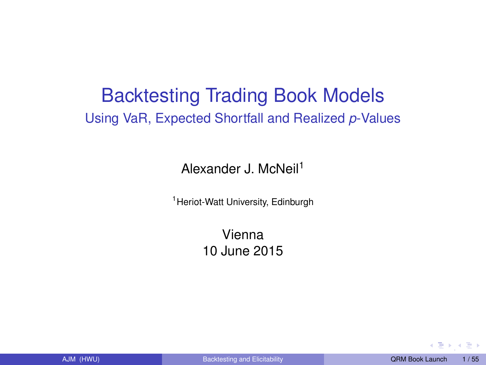## <span id="page-0-0"></span>Backtesting Trading Book Models Using VaR, Expected Shortfall and Realized *p*-Values

Alexander J. McNeil<sup>1</sup>

<sup>1</sup> Heriot-Watt University, Edinburgh

Vienna 10 June 2015

ほうえきり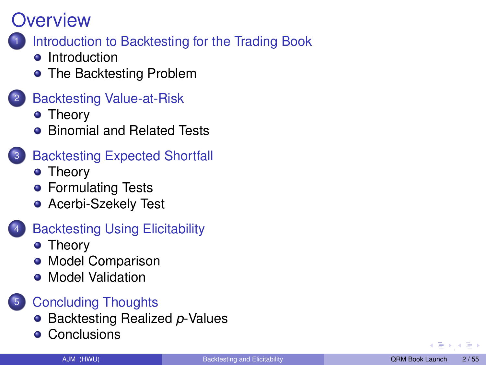#### <span id="page-1-0"></span>[Introduction to Backtesting for the Trading Book](#page-2-0)

- [Introduction](#page-2-0)
- [The Backtesting Problem](#page-7-0)
- **[Backtesting Value-at-Risk](#page-9-0)** 
	- **•** [Theory](#page-9-0)
	- **•** [Binomial and Related Tests](#page-14-0)
- **[Backtesting Expected Shortfall](#page-17-0)** 
	- **•** [Theory](#page-17-0)
	- **[Formulating Tests](#page-23-0)**
	- **[Acerbi-Szekely Test](#page-30-0)**
- **[Backtesting Using Elicitability](#page-35-0)** 
	- [Theory](#page-35-0)
	- **[Model Comparison](#page-41-0)**
	- **[Model Validation](#page-43-0)**

#### <sup>5</sup> [Concluding Thoughts](#page-46-0)

- **[Backtesting Realized](#page-46-0) p-Values**
- **[Conclusions](#page-49-0)**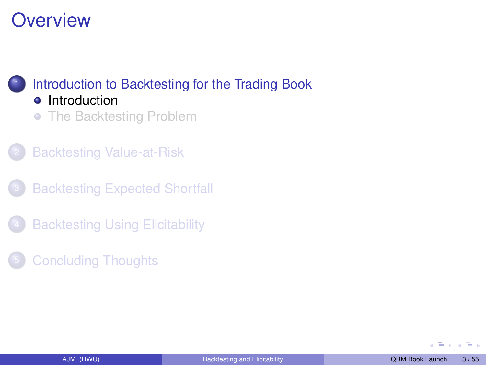#### <span id="page-2-0"></span>[Introduction to Backtesting for the Trading Book](#page-2-0) **o** [Introduction](#page-2-0)

- [The Backtesting Problem](#page-7-0)
- **[Backtesting Value-at-Risk](#page-9-0)**
- **[Backtesting Expected Shortfall](#page-17-0)**
- **[Backtesting Using Elicitability](#page-35-0)**
- **[Concluding Thoughts](#page-46-0)**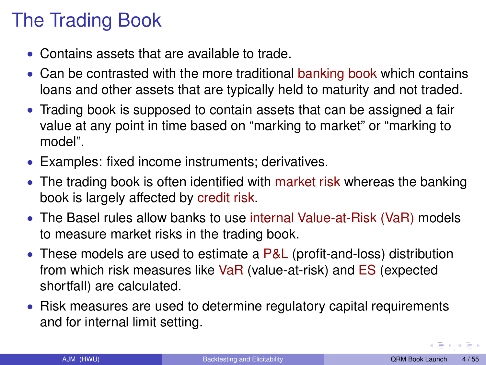# The Trading Book

- Contains assets that are available to trade.
- Can be contrasted with the more traditional banking book which contains loans and other assets that are typically held to maturity and not traded.
- Trading book is supposed to contain assets that can be assigned a fair value at any point in time based on "marking to market" or "marking to model".
- Examples: fixed income instruments; derivatives.
- The trading book is often identified with market risk whereas the banking book is largely affected by credit risk.
- The Basel rules allow banks to use internal Value-at-Risk (VaR) models to measure market risks in the trading book.
- These models are used to estimate a P&L (profit-and-loss) distribution from which risk measures like VaR (value-at-risk) and ES (expected shortfall) are calculated.
- Risk measures are used to determine regulatory capital requirements and for internal limit setting.

 $\longleftrightarrow$  [,](#page-1-0)  $\bot$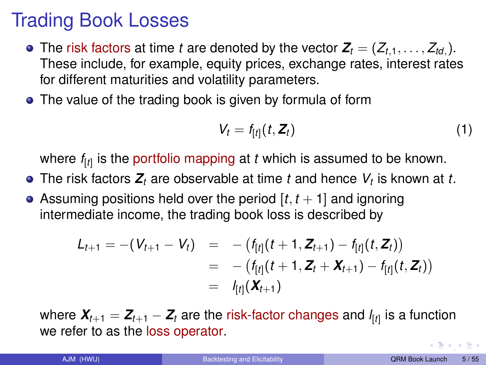# Trading Book Losses

- The risk factors at time *t* are denoted by the vector  $\mathbf{Z}_t = (Z_{t,1}, \ldots, Z_{td})$ . These include, for example, equity prices, exchange rates, interest rates for different maturities and volatility parameters.
- The value of the trading book is given by formula of form

$$
V_t = f_{[t]}(t, \boldsymbol{Z}_t) \tag{1}
$$

where *f*[*t*] is the portfolio mapping at *t* which is assumed to be known.

- The risk factors *Z<sup>t</sup>* are observable at time *t* and hence *V<sup>t</sup>* is known at *t*.
- Assuming positions held over the period  $[t, t + 1]$  and ignoring intermediate income, the trading book loss is described by

$$
L_{t+1} = -(V_{t+1} - V_t) = -(f_{[t]}(t+1, Z_{t+1}) - f_{[t]}(t, Z_t))
$$
  
= -(f\_{[t]}(t+1, Z\_t + X\_{t+1}) - f\_{[t]}(t, Z\_t))  
= -f\_{[t]}(X\_{t+1})

where *Xt*+<sup>1</sup> = *Zt*+<sup>1</sup> − *Z<sup>t</sup>* are the risk-factor changes and *l* [*t*] is a function we refer to as the loss operator.

 $\left(\begin{array}{ccc}\frac{\pi}{2} & \pi & \pi\end{array}\right)$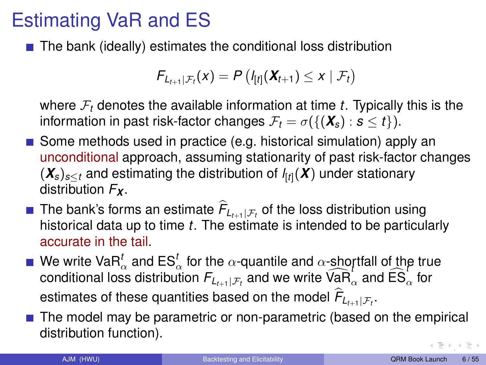# Estimating VaR and ES

 $\blacksquare$  The bank (ideally) estimates the conditional loss distribution

$$
F_{L_{t+1}|\mathcal{F}_t}(x) = P\left(I_{[t]}(\boldsymbol{X}_{t+1}) \leq x \mid \mathcal{F}_t\right)
$$

where F*<sup>t</sup>* denotes the available information at time *t*. Typically this is the information in past risk-factor changes  $\mathcal{F}_t = \sigma({\mathbf{X}}_s) : s < t$ .

- Some methods used in practice (e.g. historical simulation) apply an unconditional approach, assuming stationarity of past risk-factor changes (*Xs*)*s*≤*<sup>t</sup>* and estimating the distribution of *l* [*t*](*X*) under stationary distribution *F<sup>X</sup>* .
- The bank's forms an estimate  $F_{L_{t+1}|\mathcal{F}_t}$  of the loss distribution using historical data up to time *t*. The estimate is intended to be particularly accurate in the tail.
- We write VaR<sup>t</sup><sub>α</sub> and ES<sup>t</sup><sub>α</sub> for the α-quantile and α-shortfall of the true conditional loss distribution  $F_{L_{t+1}|F_t}$  and we write  $\widehat{VaR}_{\alpha}$  and  $\widehat{ES}_{\alpha}$  for estimates of these quantities based on the model  $F_{L_{t+1}|\mathcal{F}_t}.$
- $\blacksquare$  The model may be parametric or non-parametric (based on the empirical distribution function).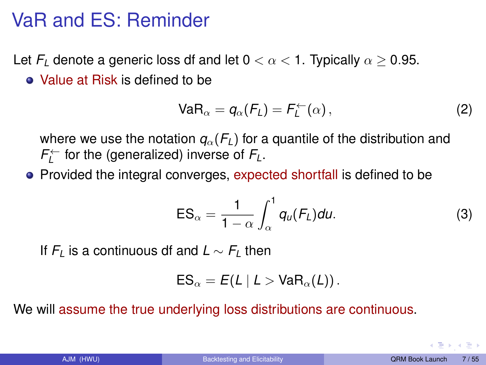## <span id="page-6-0"></span>VaR and ES: Reminder

Let  $F_l$  denote a generic loss df and let  $0 < \alpha < 1$ . Typically  $\alpha > 0.95$ .

Value at Risk is defined to be

$$
VaR_{\alpha} = q_{\alpha}(F_L) = F_L^{\leftarrow}(\alpha), \qquad (2)
$$

where we use the notation  $q_{\alpha}(F_{\iota})$  for a quantile of the distribution and  $F_L^{\leftarrow}$  for the (generalized) inverse of  $F_L$ .

• Provided the integral converges, expected shortfall is defined to be

$$
ES_{\alpha} = \frac{1}{1-\alpha} \int_{\alpha}^{1} q_{u}(F_{L}) du.
$$
 (3)

If  $F_L$  is a continuous df and  $L \sim F_L$  then

$$
\text{ES}_{\alpha} = E(L | L > \text{VaR}_{\alpha}(L)).
$$

We will assume the true underlying loss distributions are continuous.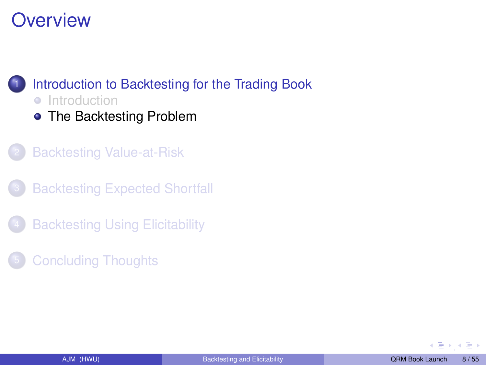<span id="page-7-0"></span>

- [The Backtesting Problem](#page-7-0)
- **[Backtesting Value-at-Risk](#page-9-0)**
- **[Backtesting Expected Shortfall](#page-17-0)**
- **[Backtesting Using Elicitability](#page-35-0)**
- **[Concluding Thoughts](#page-46-0)**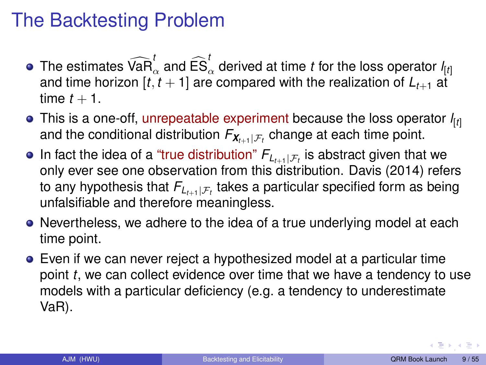# <span id="page-8-0"></span>The Backtesting Problem

- The estimates  $\widehat{VaR}^t_\alpha$  and  $\widehat{ES}^t_\alpha$  derived at time *t* for the loss operator  $I_{[t]}$ and time horizon  $[t, t + 1]$  are compared with the realization of  $L_{t+1}$  at time  $t + 1$ .
- This is a one-off, unrepeatable experiment because the loss operator *l* [*t*] and the conditional distribution  $F_{\boldsymbol{\mathsf{X}}_{t+1}|\mathcal{F}_{t}}$  change at each time point.
- In fact the idea of a "true distribution"  $\mathsf{F}_{L_{t+1}|\mathcal{F}_{t}}$  is abstract given that we only ever see one observation from this distribution. Davis (2014) refers to any hypothesis that  $F_{L_{t+1}|\mathcal{F}_{t}}$  takes a particular specified form as being unfalsifiable and therefore meaningless.
- Nevertheless, we adhere to the idea of a true underlying model at each time point.
- Even if we can never reject a hypothesized model at a particular time point *t*, we can collect evidence over time that we have a tendency to use models with a particular deficiency (e.g. a tendency to underestimate VaR).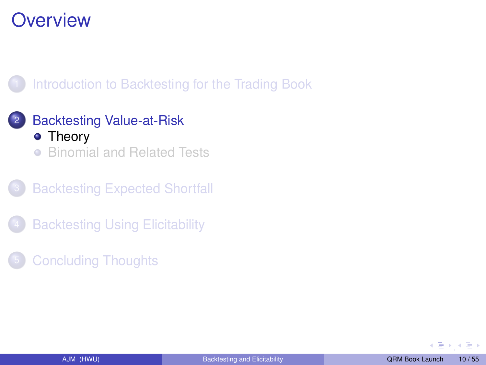<span id="page-9-0"></span>

#### <sup>2</sup> [Backtesting Value-at-Risk](#page-9-0) • [Theory](#page-9-0)

[Binomial and Related Tests](#page-14-0)  $\bullet$ 

**[Backtesting Expected Shortfall](#page-17-0)** 

- **[Backtesting Using Elicitability](#page-35-0)**
- **[Concluding Thoughts](#page-46-0)**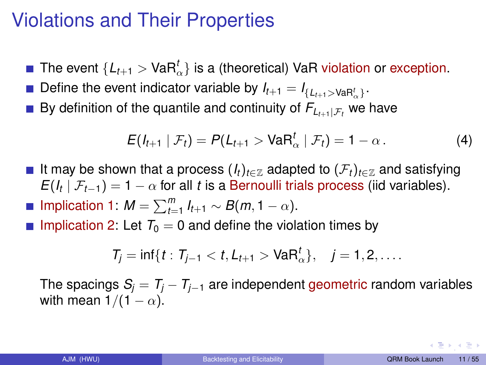# Violations and Their Properties

- The event  $\{L_{t+1} > \text{VaR}^t_\alpha\}$  is a (theoretical) VaR violation or exception.
- Define the event indicator variable by  $I_{t+1} = I_{\{L_{t+1} > \text{VaR}_\alpha^t\}}$ .
- By definition of the quantile and continuity of  $F_{L_{t+1}|\mathcal{F}_{t}}$  we have

<span id="page-10-0"></span>
$$
E(I_{t+1} | \mathcal{F}_t) = P(L_{t+1} > \text{VaR}_{\alpha}^t | \mathcal{F}_t) = 1 - \alpha.
$$
 (4)

- It may be shown that a process  $(I_t)_{t \in \mathbb{Z}}$  adapted to  $(\mathcal{F}_t)_{t \in \mathbb{Z}}$  and satisfying  $E(I_t | \mathcal{F}_{t-1}) = 1 - \alpha$  for all *t* is a Bernoulli trials process (iid variables).
- Implication 1:  $M = \sum_{t=1}^{m} I_{t+1} \sim B(m, 1 \alpha)$ .
- **Implication 2:** Let  $T_0 = 0$  and define the violation times by

$$
T_j = \inf\{t : T_{j-1} < t, L_{t+1} > \text{VaR}_{\alpha}^t\}, \quad j = 1, 2, \dots
$$

The spacings  $S_i = T_i - T_{i-1}$  are independent geometric random variables with mean  $1/(1 - \alpha)$ .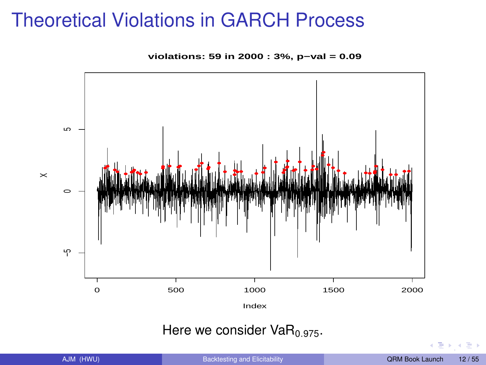## Theoretical Violations in GARCH Process

**violations: 59 in 2000 : 3%, p−val = 0.09**



#### Here we consider  $VaR<sub>0.975</sub>$ .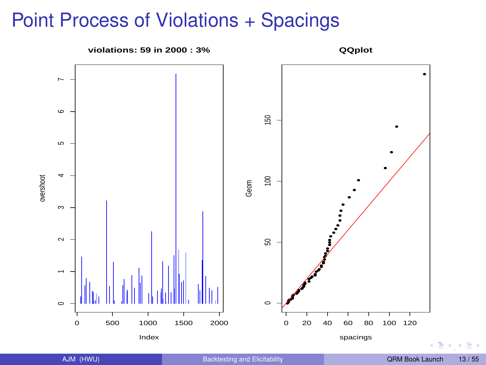## Point Process of Violations + Spacings

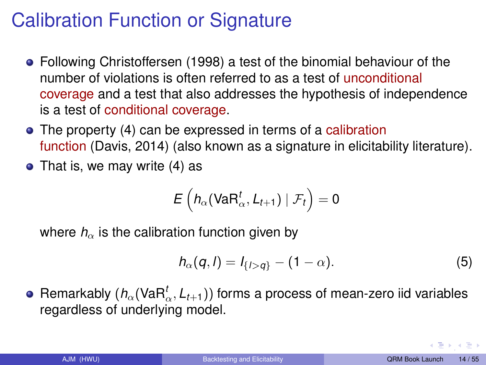# <span id="page-13-0"></span>Calibration Function or Signature

- Following Christoffersen (1998) a test of the binomial behaviour of the number of violations is often referred to as a test of unconditional coverage and a test that also addresses the hypothesis of independence is a test of conditional coverage.
- The property [\(4\)](#page-10-0) can be expressed in terms of a calibration function (Davis, 2014) (also known as a signature in elicitability literature).
- That is, we may write  $(4)$  as

$$
\mathsf{E}\left(h_\alpha(\mathsf{VaR}_\alpha^t, L_{t+1})\mid \mathcal{F}_t\right)=0
$$

where  $h_{\alpha}$  is the calibration function given by

<span id="page-13-1"></span>
$$
h_{\alpha}(q, l) = l_{\{l > q\}} - (1 - \alpha). \tag{5}
$$

Remarkably ( $h_\alpha$ (VaR $^t_\alpha$ , *L*<sub>t+1</sub>)) forms a process of mean-zero iid variables regardless of underlying model.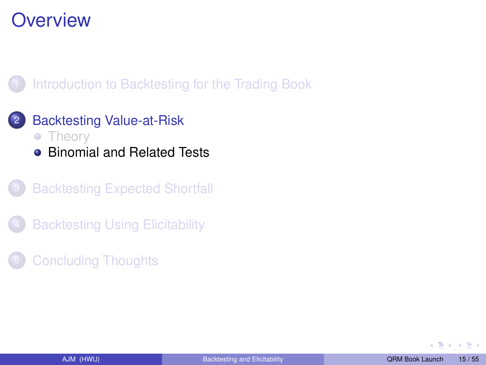<span id="page-14-0"></span>

#### <sup>2</sup> [Backtesting Value-at-Risk](#page-9-0) • [Theory](#page-9-0)

- 
- [Binomial and Related Tests](#page-14-0)
- **[Backtesting Expected Shortfall](#page-17-0)**
- **[Backtesting Using Elicitability](#page-35-0)**
- **[Concluding Thoughts](#page-46-0)**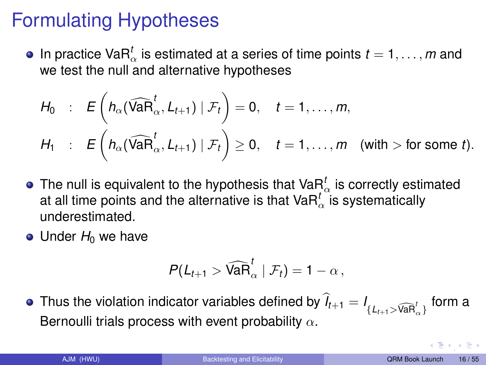# Formulating Hypotheses

In practice Va $R^t_\alpha$  is estimated at a series of time points  $t = 1, \ldots, m$  and we test the null and alternative hypotheses

$$
H_0 : E\left(h_{\alpha}(\widehat{\text{VaR}}_{\alpha}^t, L_{t+1}) \mid \mathcal{F}_t\right) = 0, \quad t = 1, ..., m,
$$
  

$$
H_1 : E\left(h_{\alpha}(\widehat{\text{VaR}}_{\alpha}^t, L_{t+1}) \mid \mathcal{F}_t\right) \geq 0, \quad t = 1, ..., m \quad \text{(with } > \text{for some } t).
$$

- The null is equivalent to the hypothesis that Va $\bm{{\mathsf{R}}}^t_\alpha$  is correctly estimated at all time points and the alternative is that  $\mathsf{VaR}_\alpha^t$  is systematically underestimated.
- Under *H*<sub>0</sub> we have

$$
P(L_{t+1} > \widehat{\text{VaR}}_{\alpha}^t | \mathcal{F}_t) = 1 - \alpha,
$$

Thus the violation indicator variables defined by  $I_{t+1} = I_{\{L_{t+1} > \widehat{\mathsf{VaR}}_\alpha^t\}}$  form a Bernoulli trials process with event probability  $\alpha$ .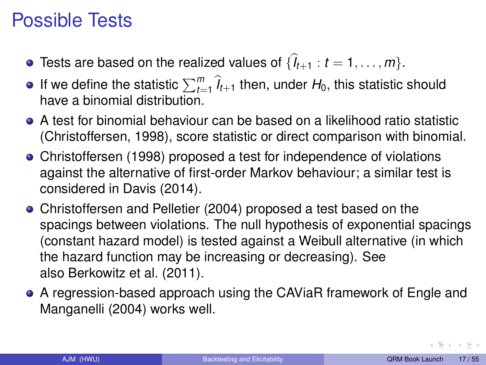# <span id="page-16-0"></span>Possible Tests

- Tests are based on the realized values of  $\{l_{t+1}: t = 1, \ldots, m\}$ .
- If we define the statistic  $\sum_{t=1}^{m} \hat{l}_{t+1}$  then, under  $H_0$ , this statistic should have a binomial distribution.
- A test for binomial behaviour can be based on a likelihood ratio statistic (Christoffersen, 1998), score statistic or direct comparison with binomial.
- Christoffersen (1998) proposed a test for independence of violations against the alternative of first-order Markov behaviour; a similar test is considered in Davis (2014).
- Christoffersen and Pelletier (2004) proposed a test based on the spacings between violations. The null hypothesis of exponential spacings (constant hazard model) is tested against a Weibull alternative (in which the hazard function may be increasing or decreasing). See also Berkowitz et al. (2011).
- A regression-based approach using the CAViaR framework of Engle and Manganelli (2004) works well.

 $\left(\begin{array}{ccc}\frac{\pi}{2} & \pi & \pi\end{array}\right)$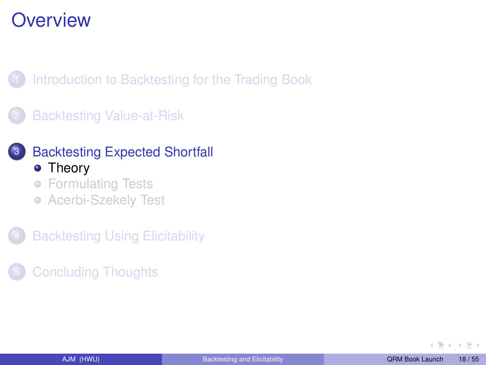<span id="page-17-0"></span>[Introduction to Backtesting for the Trading Book](#page-2-0)

**[Backtesting Value-at-Risk](#page-9-0)** 



#### **[Backtesting Expected Shortfall](#page-17-0)** • [Theory](#page-17-0)

- **[Formulating Tests](#page-23-0)**
- **[Acerbi-Szekely Test](#page-30-0)**

**[Backtesting Using Elicitability](#page-35-0)** 

**[Concluding Thoughts](#page-46-0)**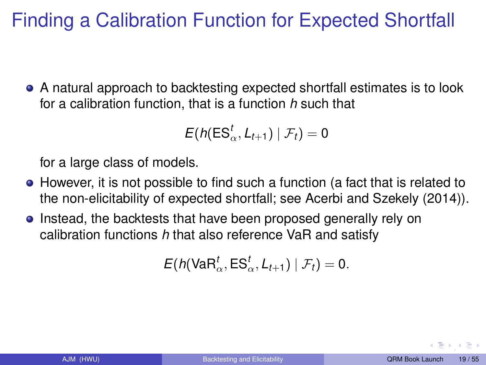# Finding a Calibration Function for Expected Shortfall

A natural approach to backtesting expected shortfall estimates is to look for a calibration function, that is a function *h* such that

$$
E(h(\textsf{ES}_\alpha^t, L_{t+1}) \mid \mathcal{F}_t) = 0
$$

for a large class of models.

- However, it is not possible to find such a function (a fact that is related to the non-elicitability of expected shortfall; see Acerbi and Szekely (2014)).
- **Instead, the backtests that have been proposed generally rely on** calibration functions *h* that also reference VaR and satisfy

$$
E(h(\text{VaR}_{\alpha}^t, \text{ES}_{\alpha}^t, L_{t+1}) | \mathcal{F}_t) = 0.
$$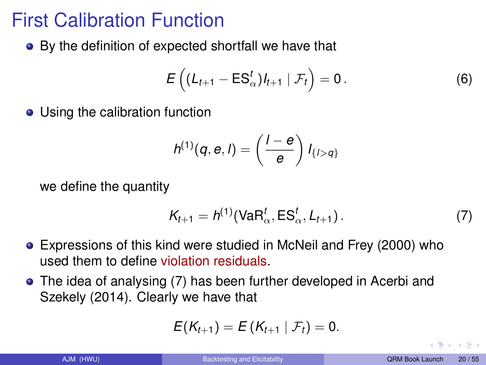# First Calibration Function

By the definition of expected shortfall we have that

<span id="page-19-1"></span>
$$
E\left((L_{t+1}-ES^t_{\alpha})l_{t+1} | \mathcal{F}_t\right)=0.
$$
 (6)

• Using the calibration function

$$
h^{(1)}(q, e, l) = \left(\frac{l-e}{e}\right)l_{\{l>q\}}
$$

we define the quantity

<span id="page-19-0"></span>
$$
K_{t+1} = h^{(1)}(\text{VaR}_{\alpha}^{t}, \text{ES}_{\alpha}^{t}, L_{t+1}).
$$
\n(7)

- Expressions of this kind were studied in McNeil and Frey (2000) who used them to define violation residuals.
- The idea of analysing [\(7\)](#page-19-0) has been further developed in Acerbi and Szekely (2014). Clearly we have that

$$
E(K_{t+1})=E(K_{t+1} | \mathcal{F}_t)=0.
$$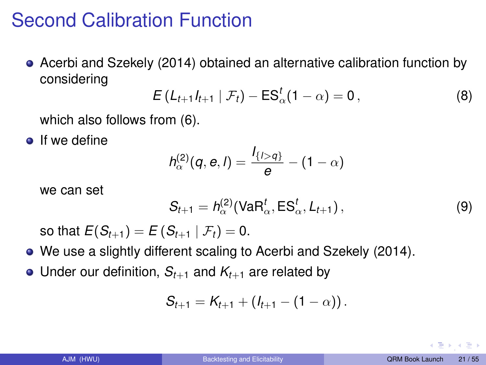# Second Calibration Function

Acerbi and Szekely (2014) obtained an alternative calibration function by considering

$$
E\left(L_{t+1}I_{t+1} | \mathcal{F}_t\right) - ES_{\alpha}^t(1-\alpha) = 0, \qquad (8)
$$

which also follows from [\(6\)](#page-19-1).

 $\bullet$  If we define

$$
h_{\alpha}^{(2)}(q, e, l) = \frac{I_{\{l>q\}}}{e} - (1-\alpha)
$$

we can set

<span id="page-20-0"></span>
$$
S_{t+1} = h_{\alpha}^{(2)}(\text{VaR}_{\alpha}^t, \text{ES}_{\alpha}^t, L_{t+1}), \qquad (9)
$$

so that  $E(S_{t+1}) = E(S_{t+1} | \mathcal{F}_t) = 0.$ 

- We use a slightly different scaling to Acerbi and Szekely (2014).
- Under our definition,  $S_{t+1}$  and  $K_{t+1}$  are related by

$$
S_{t+1}=K_{t+1}+(I_{t+1}-(1-\alpha))\,.
$$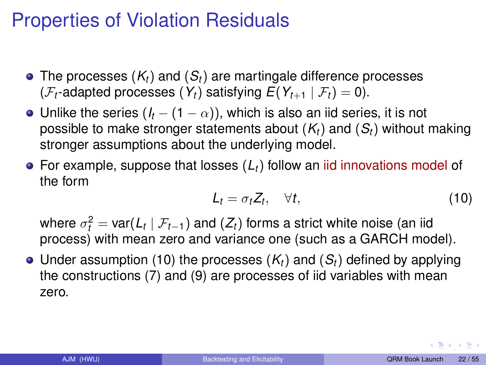## Properties of Violation Residuals

- The processes (*Kt*) and (*St*) are martingale difference processes ( $\mathcal{F}_t$ -adapted processes ( $Y_t$ ) satisfying  $E(Y_{t+1} | \mathcal{F}_t) = 0$ ).
- Unlike the series  $(I_t (1 \alpha))$ , which is also an iid series, it is not possible to make stronger statements about (*Kt*) and (*St*) without making stronger assumptions about the underlying model.
- For example, suppose that losses (*Lt*) follow an iid innovations model of the form

<span id="page-21-0"></span>
$$
L_t = \sigma_t Z_t, \quad \forall t,
$$
\n(10)

where  $\sigma_t^2 = \mathsf{var}(L_t \mid \mathcal{F}_{t-1})$  and  $(Z_t)$  forms a strict white noise (an iid process) with mean zero and variance one (such as a GARCH model).

 $\bullet$  Under assumption [\(10\)](#page-21-0) the processes  $(K_t)$  and  $(S_t)$  defined by applying the constructions [\(7\)](#page-19-0) and [\(9\)](#page-20-0) are processes of iid variables with mean zero.

 $\left(\begin{array}{ccc}\frac{\pi}{2} & \pi & \pi\end{array}\right)$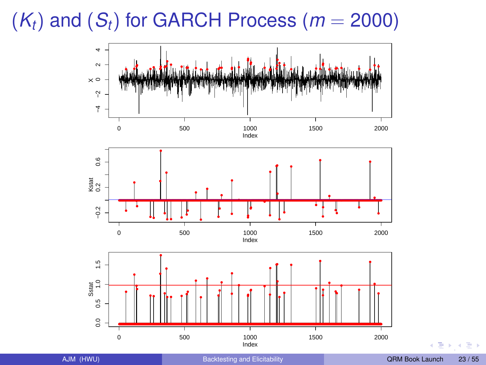<span id="page-22-0"></span> $(K_t)$  and  $(S_t)$  for GARCH Process ( $m = 2000$ )

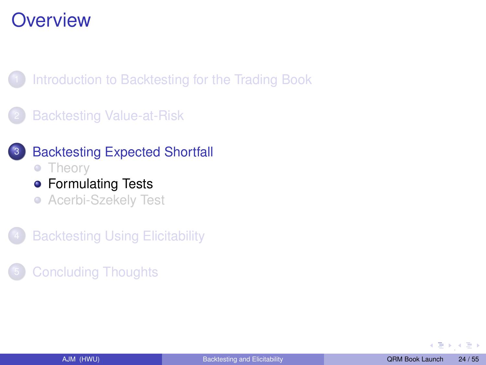<span id="page-23-0"></span>[Introduction to Backtesting for the Trading Book](#page-2-0)

**[Backtesting Value-at-Risk](#page-9-0)** 



**[Backtesting Using Elicitability](#page-35-0)** 

**[Concluding Thoughts](#page-46-0)**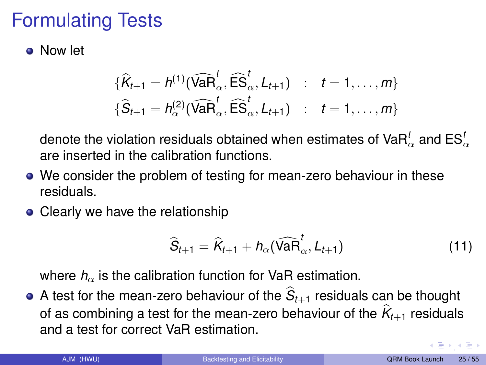# Formulating Tests

Now let

$$
\{\widehat{K}_{t+1} = h^{(1)}(\widehat{\text{VaR}}_{\alpha}^t, \widehat{\text{ES}}_{\alpha}^t, L_{t+1}) \ : \ t = 1, \dots, m\}
$$
  

$$
\{\widehat{S}_{t+1} = h^{(2)}_{\alpha}(\widehat{\text{VaR}}_{\alpha}^t, \widehat{\text{ES}}_{\alpha}^t, L_{t+1}) \ : \ t = 1, \dots, m\}
$$

denote the violation residuals obtained when estimates of VaR $^t_{\alpha}$  and ES $^t_{\alpha}$ are inserted in the calibration functions.

- We consider the problem of testing for mean-zero behaviour in these residuals.
- Clearly we have the relationship

$$
\widehat{S}_{t+1} = \widehat{K}_{t+1} + h_{\alpha}(\widehat{\text{VaR}}_{\alpha}^{t}, L_{t+1})
$$
\n(11)

where  $h_{\alpha}$  is the calibration function for VaR estimation.

A test for the mean-zero behaviour of the  $S_{t+1}$  residuals can be thought of as combining a test for the mean-zero behaviour of the  $K_{t+1}$  residuals and a test for correct VaR estimation.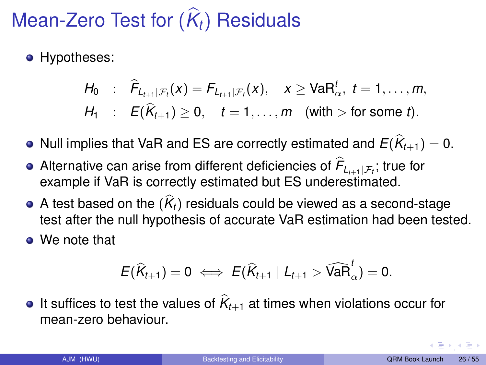# $M$ ean-Zero Test for  $(K_t)$  Residuals

**•** Hypotheses:

$$
H_0 : \widehat{F}_{L_{t+1}|\mathcal{F}_t}(x) = F_{L_{t+1}|\mathcal{F}_t}(x), \quad x \geq \text{VaR}_{\alpha}^t, \ t = 1, \ldots, m,
$$
  

$$
H_1 : E(\widehat{K}_{t+1}) \geq 0, \quad t = 1, \ldots, m \quad \text{(with } > \text{for some } t).
$$

- Null implies that VaR and ES are correctly estimated and  $E(K_{t+1}) = 0$ .
- Alternative can arise from different deficiencies of *F*b *Lt*+1|F*<sup>t</sup>* ; true for example if VaR is correctly estimated but ES underestimated.
- A test based on the  $(K_t)$  residuals could be viewed as a second-stage<br>  $\frac{1}{2}$ test after the null hypothesis of accurate VaR estimation had been tested.
- We note that

$$
E(\widehat{K}_{t+1})=0 \iff E(\widehat{K}_{t+1} | L_{t+1} > \widehat{\text{VaR}}_{\alpha}^{t})=0.
$$

It suffices to test the values of  $K_{t+1}$  at times when violations occur for mean-zero behaviour.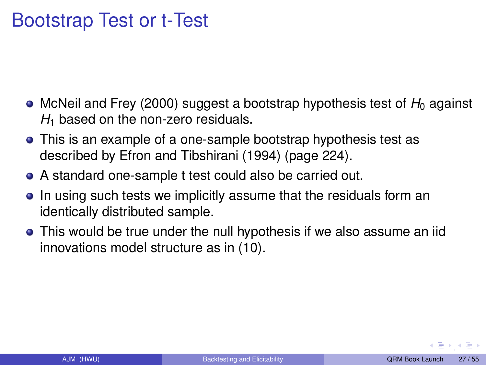## Bootstrap Test or t-Test

- McNeil and Frey (2000) suggest a bootstrap hypothesis test of *H*<sub>0</sub> against H<sub>1</sub> based on the non-zero residuals.
- This is an example of a one-sample bootstrap hypothesis test as described by Efron and Tibshirani (1994) (page 224).
- A standard one-sample t test could also be carried out.
- In using such tests we implicitly assume that the residuals form an identically distributed sample.
- This would be true under the null hypothesis if we also assume an iid innovations model structure as in [\(10\)](#page-21-0).

**[,](#page-22-0) , , , , ,**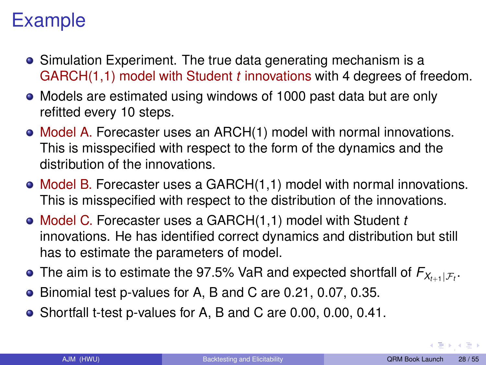# Example

- Simulation Experiment. The true data generating mechanism is a GARCH(1,1) model with Student *t* innovations with 4 degrees of freedom.
- Models are estimated using windows of 1000 past data but are only refitted every 10 steps.
- Model A. Forecaster uses an ARCH(1) model with normal innovations. This is misspecified with respect to the form of the dynamics and the distribution of the innovations.
- $\bullet$  Model B. Forecaster uses a GARCH $(1,1)$  model with normal innovations. This is misspecified with respect to the distribution of the innovations.
- Model C. Forecaster uses a GARCH(1,1) model with Student *t* innovations. He has identified correct dynamics and distribution but still has to estimate the parameters of model.
- The aim is to estimate the 97.5% VaR and expected shortfall of  $\mathsf{F}_{\mathsf{X}_{t+1}|\mathcal{F}_t}.$
- Binomial test p-values for A, B and C are 0.21, 0.07, 0.35.
- Shortfall t-test p-values for A, B and C are 0.00, 0.00, 0.41.

 $\left(\begin{array}{ccc}\frac{\pi}{2} & \pi & \pi\end{array}\right)$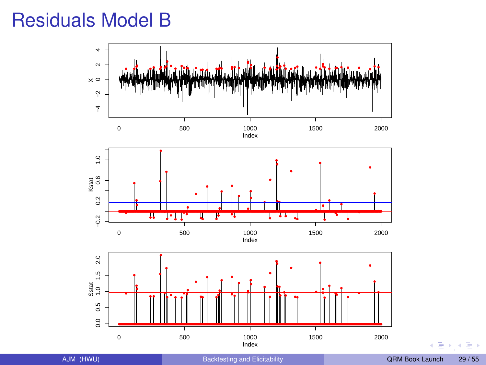## Residuals Model B



 $\mathbf{b}$  $\mathbf{d}$ э,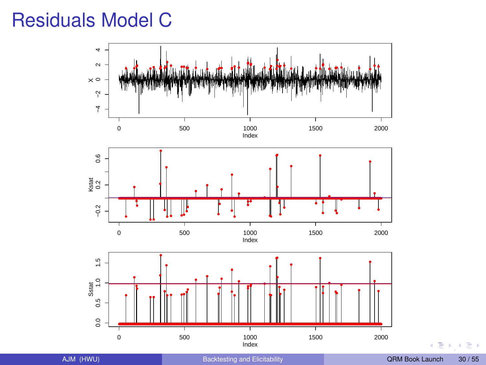## <span id="page-29-0"></span>Residuals Model C



b.  $\mathbf{d}$ э,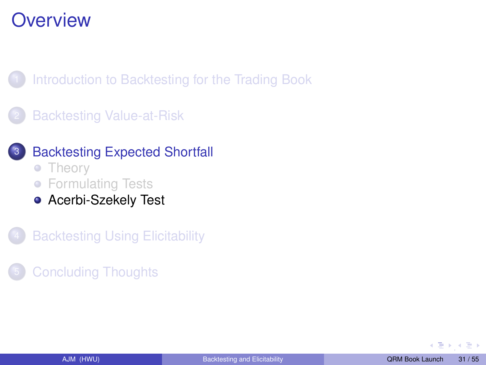<span id="page-30-0"></span>[Introduction to Backtesting for the Trading Book](#page-2-0)

**[Backtesting Value-at-Risk](#page-9-0)** 



- [Theory](#page-17-0)
- **[Formulating Tests](#page-23-0)**
- **[Acerbi-Szekely Test](#page-30-0)**
- **[Backtesting Using Elicitability](#page-35-0)**
- **[Concluding Thoughts](#page-46-0)**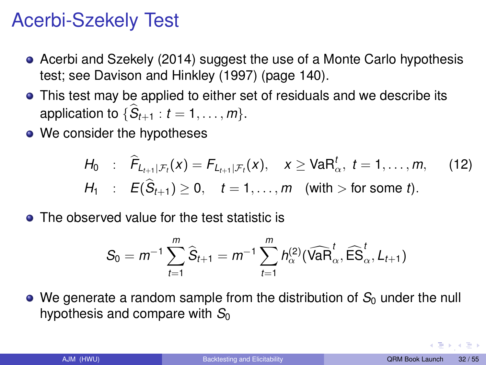# Acerbi-Szekely Test

- Acerbi and Szekely (2014) suggest the use of a Monte Carlo hypothesis test; see Davison and Hinkley (1997) (page 140).
- This test may be applied to either set of residuals and we describe its application to  $\{S_{t+1}: t = 1, \ldots, m\}$ .
- We consider the hypotheses

<span id="page-31-0"></span>
$$
H_0 : \widehat{F}_{L_{t+1}|\mathcal{F}_t}(x) = F_{L_{t+1}|\mathcal{F}_t}(x), \quad x \geq \text{VaR}_{\alpha}^t, \ t = 1, ..., m, \quad (12)
$$
  

$$
H_1 : E(\widehat{S}_{t+1}) \geq 0, \quad t = 1, ..., m \quad \text{(with } > \text{for some } t).
$$

**•** The observed value for the test statistic is

$$
S_0 = m^{-1} \sum_{t=1}^m \widehat{S}_{t+1} = m^{-1} \sum_{t=1}^m h_{\alpha}^{(2)}(\widehat{VaR}_{\alpha}^t, \widehat{ES}_{\alpha}^t, L_{t+1})
$$

 $\bullet$  We generate a random sample from the distribution of  $S_0$  under the null hypothesis and compare with  $S_0$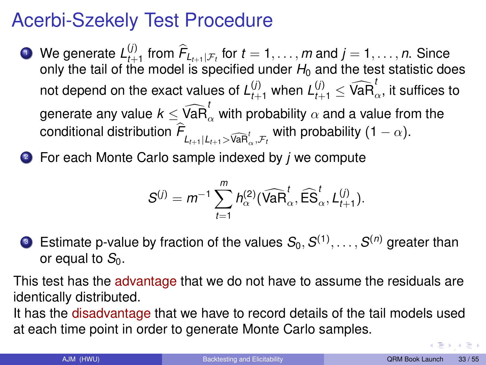## Acerbi-Szekely Test Procedure

- **1** We generate  $L_{t+1}^{(j)}$  from  $\hat{F}_{L_{t+1}|\mathcal{F}_t}$  for  $t = 1, \ldots, m$  and  $j = 1, \ldots, n$ . Since only the tail of the model is specified under  $H_0$  and the test statistic does not depend on the exact values of  $L_{t+1}^{(j)}$  when  $L_{t+1}^{(j)} \leq \widehat{\textsf{VaR}}_\alpha^t$  it suffices to generate any value  $k \leq \widehat{\textsf{VaR}}_\alpha^t$  with probability  $\alpha$  and a value from the  $\epsilon$  conditional distribution  $\mathcal{F}_{L_{t+1}|L_{t+1}>\widehat{\mathsf{VaR}}_\alpha^t,\mathcal{F}_t}$  with probability  $(1-\alpha).$
- <sup>2</sup> For each Monte Carlo sample indexed by *j* we compute

$$
S^{(j)}=m^{-1}\sum_{t=1}^m h_{\alpha}^{(2)}(\widehat{\text{VaR}}_{\alpha}^t,\widehat{\text{ES}}_{\alpha}^t,\textit{L}_{t+1}^{(j)}).
$$

**3** Estimate p-value by fraction of the values  $S_0, S^{(1)}, \ldots, S^{(n)}$  greater than or equal to  $S_0$ .

This test has the advantage that we do not have to assume the residuals are identically distributed.

It has the disadvantage that we have to record details of the tail models used at each time point in order to generate Monte Carlo samples.

 $\rightarrow$  [,](#page-29-0) and  $\equiv$   $\rightarrow$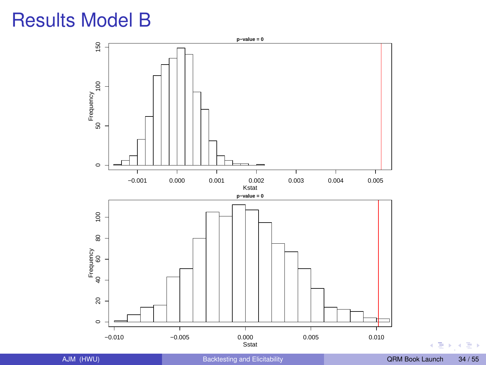# Results Model B



[,](#page-29-0)

Ξ,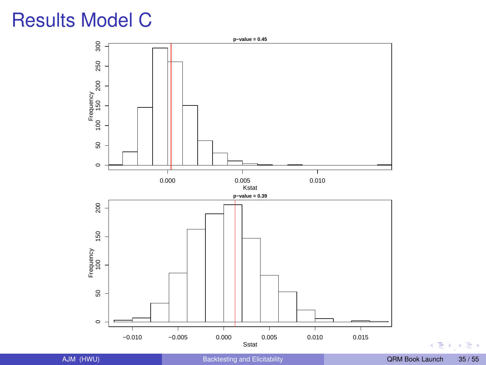# <span id="page-34-0"></span>Results Model C



 $\sqrt{2}$  [,](#page-29-0)  $\sqrt{2}$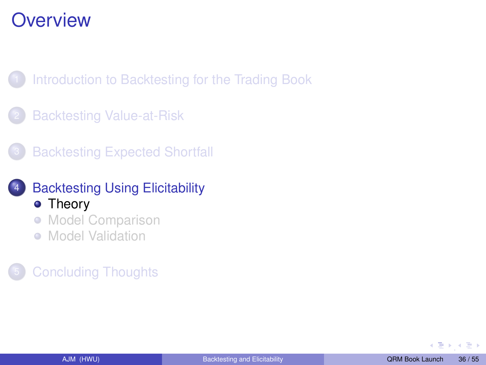<span id="page-35-0"></span>[Introduction to Backtesting for the Trading Book](#page-2-0)

- **[Backtesting Value-at-Risk](#page-9-0)**
- **[Backtesting Expected Shortfall](#page-17-0)**
- **[Backtesting Using Elicitability](#page-35-0)** • [Theory](#page-35-0)
	- **[Model Comparison](#page-41-0)**
	- [Model Validation](#page-43-0)  $\bullet$

#### **[Concluding Thoughts](#page-46-0)**

[,](#page-34-0)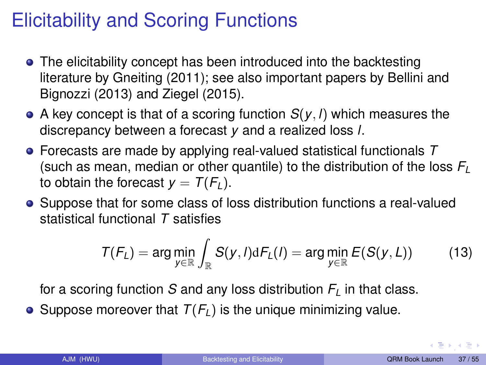# Elicitability and Scoring Functions

- The elicitability concept has been introduced into the backtesting literature by Gneiting (2011); see also important papers by Bellini and Bignozzi (2013) and Ziegel (2015).
- A key concept is that of a scoring function  $S(y, l)$  which measures the discrepancy between a forecast *y* and a realized loss *l*.
- Forecasts are made by applying real-valued statistical functionals *T* (such as mean, median or other quantile) to the distribution of the loss *F<sup>L</sup>* to obtain the forecast  $y = T(F_L)$ .
- Suppose that for some class of loss distribution functions a real-valued statistical functional *T* satisfies

<span id="page-36-0"></span>
$$
T(F_L) = \arg\min_{y \in \mathbb{R}} \int_{\mathbb{R}} S(y, l) dF_L(l) = \arg\min_{y \in \mathbb{R}} E(S(y, L)) \tag{13}
$$

for a scoring function *S* and any loss distribution  $F<sub>L</sub>$  in that class.

• Suppose moreover that  $T(F_l)$  is the unique minimizing value.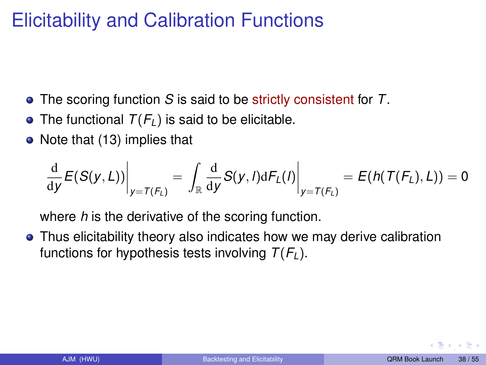# Elicitability and Calibration Functions

- The scoring function *S* is said to be strictly consistent for *T*.
- The functional  $T(F_l)$  is said to be elicitable.
- Note that [\(13\)](#page-36-0) implies that

$$
\left.\frac{\mathrm{d}}{\mathrm{d}y}E(S(y,L))\right|_{y=T(F_L)}=\left.\int_{\mathbb{R}}\frac{\mathrm{d}}{\mathrm{d}y}S(y,l)\mathrm{d}F_L(l)\right|_{y=T(F_L)}=E(h(T(F_L),L))=0
$$

where *h* is the derivative of the scoring function.

Thus elicitability theory also indicates how we may derive calibration functions for hypothesis tests involving  $T(F_L)$ .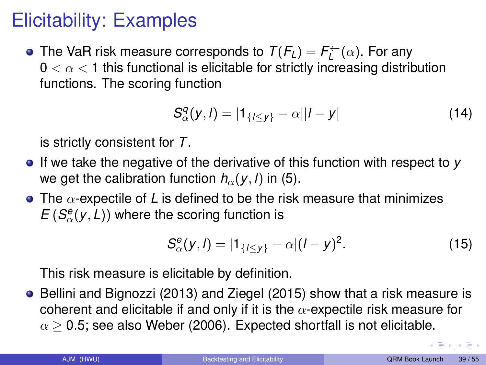# Elicitability: Examples

The VaR risk measure corresponds to  $T(F_L) = F_L^{\leftarrow}(\alpha)$ . For any  $0 < \alpha < 1$  this functional is elicitable for strictly increasing distribution functions. The scoring function

<span id="page-38-0"></span>
$$
S_{\alpha}^{q}(y, l) = |1_{\{l \leq y\}} - \alpha||l - y|
$$
 (14)

is strictly consistent for *T*.

- If we take the negative of the derivative of this function with respect to *y* we get the calibration function  $h_{\alpha}(y, l)$  in [\(5\)](#page-13-1).
- $\bullet$  The  $\alpha$ -expectile of L is defined to be the risk measure that minimizes  $E(S_{\alpha}^{e}(y, L))$  where the scoring function is

$$
S_{\alpha}^{e}(y, l) = |1_{\{l \leq y\}} - \alpha |(l - y)^{2}.
$$
 (15)

This risk measure is elicitable by definition.

Bellini and Bignozzi (2013) and Ziegel (2015) show that a risk measure is coherent and elicitable if and only if it is the  $\alpha$ -expectile risk measure for  $\alpha$  > 0.5; see also Weber (2006). Expected shortfall is not elicitable.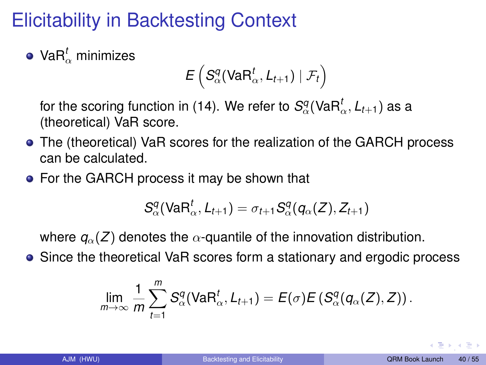# Elicitability in Backtesting Context

Va $\mathsf{R}^t_\alpha$  minimizes

$$
E\left(S^q_\alpha(\textsf{VaR}^t_\alpha,\mathit{L}_{t+1})\mid \mathcal{F}_t\right)
$$

for the scoring function in [\(14\)](#page-38-0). We refer to  $S_\alpha^q(\mathsf{VaR}_\alpha^t,L_{t+1})$  as a (theoretical) VaR score.

- The (theoretical) VaR scores for the realization of the GARCH process can be calculated.
- For the GARCH process it may be shown that

$$
S^q_\alpha(\textsf{VaR}^t_\alpha,L_{t+1})=\sigma_{t+1}S^q_\alpha(q_\alpha(Z),Z_{t+1})
$$

where  $q_{\alpha}(Z)$  denotes the  $\alpha$ -quantile of the innovation distribution.

• Since the theoretical VaR scores form a stationary and ergodic process

$$
\lim_{m\to\infty}\frac{1}{m}\sum_{t=1}^m S^q_\alpha(\text{VaR}^t_\alpha,L_{t+1})=E(\sigma)E(S^q_\alpha(q_\alpha(Z),Z)).
$$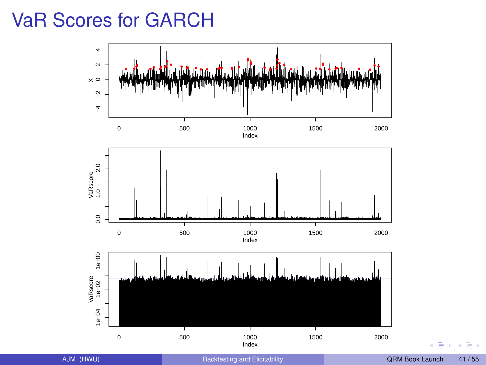## <span id="page-40-0"></span>VaR Scores for GARCH



 $\mathbf{b}$  $\mathbf{d}$ э,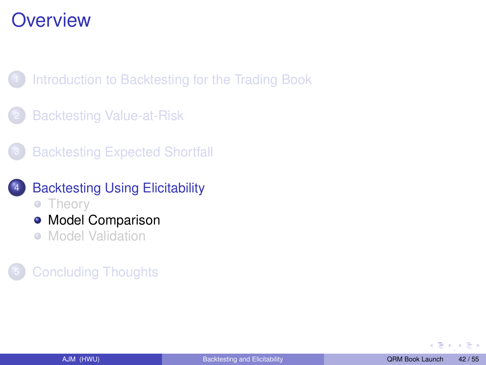<span id="page-41-0"></span>[Introduction to Backtesting for the Trading Book](#page-2-0)

- **[Backtesting Value-at-Risk](#page-9-0)**
- **[Backtesting Expected Shortfall](#page-17-0)**
- **[Backtesting Using Elicitability](#page-35-0)** 
	- [Theory](#page-35-0)
	- [Model Comparison](#page-41-0)
	- [Model Validation](#page-43-0)  $\bullet$

#### **[Concluding Thoughts](#page-46-0)**

[,](#page-40-0)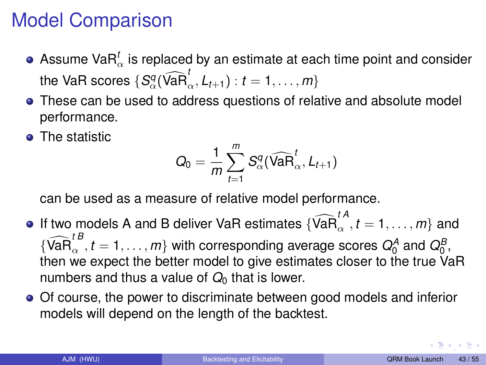# <span id="page-42-0"></span>Model Comparison

- Assume Va $\mathsf{R}^t_\alpha$  is replaced by an estimate at each time point and consider the VaR scores  $\{S^q_\alpha(\widehat{\text{VaR}}_\alpha^t, L_{t+1}) : t = 1, \ldots, m\}$
- These can be used to address questions of relative and absolute model performance.
- The statistic

$$
Q_0 = \frac{1}{m} \sum_{t=1}^m S^q_\alpha(\widehat{\text{VaR}}^t_\alpha, L_{t+1})
$$

can be used as a measure of relative model performance.

- If two models A and B deliver VaR estimates  $\{\widehat{\text{VaR}}_{\alpha}^{tA}, t = 1, \ldots, m\}$  and  $\{\widehat{\text{VaR}}_{\alpha}^{tB}, t = 1, \ldots, m\}$  with corresponding average scores  $Q_0^A$  and  $Q_0^B$ , then we expect the better model to give estimates closer to the true VaR numbers and thus a value of  $Q_0$  that is lower.
- Of course, the power to discriminate between good models and inferior models will depend on the length of the backtest.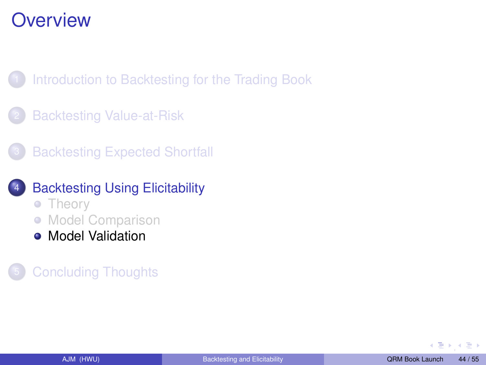<span id="page-43-0"></span>[Introduction to Backtesting for the Trading Book](#page-2-0)

- **[Backtesting Value-at-Risk](#page-9-0)**
- **[Backtesting Expected Shortfall](#page-17-0)**
- **[Backtesting Using Elicitability](#page-35-0)** 
	- [Theory](#page-35-0)
	- **[Model Comparison](#page-41-0)**
	- **[Model Validation](#page-43-0)**

#### **[Concluding Thoughts](#page-46-0)**

[,](#page-42-0)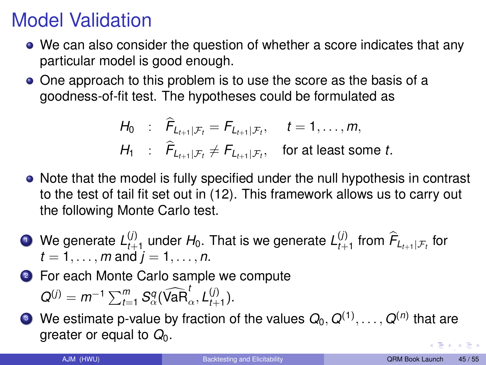# Model Validation

- We can also consider the question of whether a score indicates that any particular model is good enough.
- One approach to this problem is to use the score as the basis of a goodness-of-fit test. The hypotheses could be formulated as

$$
H_0 : \widehat{F}_{L_{t+1}|\mathcal{F}_t} = F_{L_{t+1}|\mathcal{F}_t}, \quad t = 1, \dots, m,
$$
  
\n
$$
H_1 : \widehat{F}_{L_{t+1}|\mathcal{F}_t} \neq F_{L_{t+1}|\mathcal{F}_t}, \quad \text{for at least some } t.
$$

- Note that the model is fully specified under the null hypothesis in contrast to the test of tail fit set out in [\(12\)](#page-31-0). This framework allows us to carry out the following Monte Carlo test.
- **1** We generate  $L_{t+1}^{(j)}$  $\mathcal{L}_{t+1}^{(j)}$  under  $H_0$ . That is we generate  $L_{t+1}^{(j)}$  $E_{t+1}^{(j)}$  from  $F_{L_{t+1}|\mathcal{F}_t}$  for  $t = 1, \ldots, m$  and  $j = 1, \ldots, n$ .
- 2 For each Monte Carlo sample we compute  $Q^{(j)} = m^{-1} \sum_{t=1}^{m} S_{\alpha}^{q}(\widehat{\text{VaR}}_{\alpha}^{t}, L_{t+1}^{(j)})$  $_{t+1}^{(1)}$ ).
- $\bullet$  We estimate p-value by fraction of the values  $Q_0,$   $Q^{(1)},$   $\dots,$   $Q^{(n)}$  that are greater or equal to  $Q_0$ .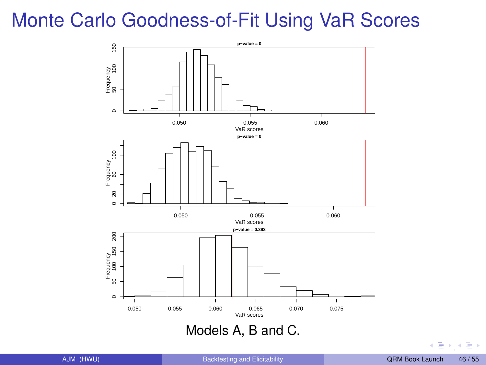# <span id="page-45-0"></span>Monte Carlo Goodness-of-Fit Using VaR Scores



 $\sqrt{2}$  [,](#page-42-0)  $\sqrt{2}$  ,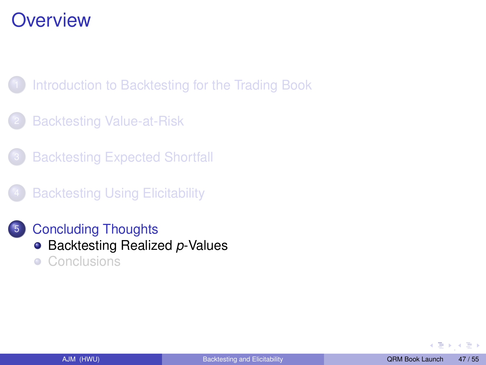<span id="page-46-0"></span>[Introduction to Backtesting for the Trading Book](#page-2-0)

- **[Backtesting Value-at-Risk](#page-9-0)**
- **[Backtesting Expected Shortfall](#page-17-0)**
- **[Backtesting Using Elicitability](#page-35-0)**
- <sup>5</sup> [Concluding Thoughts](#page-46-0) **• [Backtesting Realized](#page-46-0) p-Values**  $\bullet$ **[Conclusions](#page-49-0)**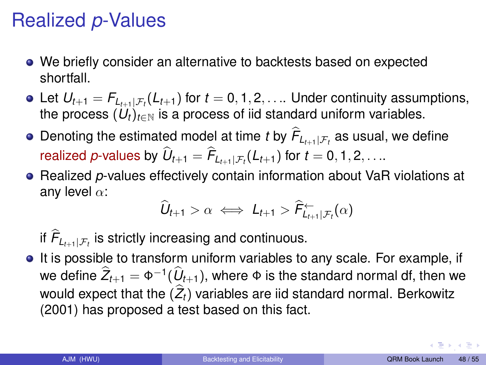# Realized *p*-Values

- We briefly consider an alternative to backtests based on expected shortfall.
- Let  $U_{t+1} = F_{L_{t+1}|\mathcal{F}_t}(L_{t+1})$  for  $t = 0, 1, 2, \ldots$  Under continuity assumptions, the process  $(U_t)_{t\in\mathbb{N}}$  is a process of iid standard uniform variables.
- Denoting the estimated model at time *t* by  $F_{L_{t+1}|\mathcal{F}_t}$  as usual, we define realized *p*-values by  $U_{t+1} = F_{L_{t+1}|\mathcal{F}_t}(L_{t+1})$  for  $t = 0, 1, 2, \ldots$
- **Realized p-values effectively contain information about VaR violations at** any level  $\alpha$ :

$$
\widehat{U}_{t+1} > \alpha \iff L_{t+1} > \widehat{F}_{L_{t+1}|\mathcal{F}_t}^{\leftarrow}(\alpha)
$$

if  $\mathcal{F}_{L_{t+1}|\mathcal{F}_t}$  is strictly increasing and continuous.

It is possible to transform uniform variables to any scale. For example, if we define  $\hat{Z}_{t+1} = \Phi^{-1}(\hat{U}_{t+1})$ , where  $\Phi$  is the standard normal df, then we would expect that the  $(Z_t)$  variables are iid standard normal. Berkowitz (2001) has proposed a test based on this fact.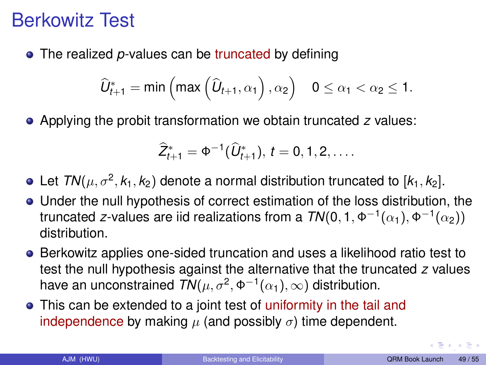## <span id="page-48-0"></span>Berkowitz Test

• The realized *p*-values can be truncated by defining

$$
\widehat{U}^*_{t+1} = \text{min}\left(\text{max}\left(\widehat{U}_{t+1}, \alpha_1\right), \alpha_2\right) \quad 0 \leq \alpha_1 < \alpha_2 \leq 1.
$$

Applying the probit transformation we obtain truncated *z* values:

$$
\widehat{Z}_{t+1}^* = \Phi^{-1}(\widehat{U}_{t+1}^*), t = 0, 1, 2, \ldots
$$

Let  $\mathsf{TN}(\mu, \sigma^2, k_1, k_2)$  denote a normal distribution truncated to  $[k_1, k_2].$ 

- Under the null hypothesis of correct estimation of the loss distribution, the truncated *z*-values are iid realizations from a  $\mathit{TN}(0,1,\Phi^{-1}(\alpha_1),\Phi^{-1}(\alpha_2))$ distribution.
- **Berkowitz applies one-sided truncation and uses a likelihood ratio test to** test the null hypothesis against the alternative that the truncated *z* values have an unconstrained  $\mathit{TN}(\mu,\sigma^2,\Phi^{-1}(\alpha_1),\infty)$  distribution.
- This can be extended to a joint test of uniformity in the tail and independence by making  $\mu$  (and possibly  $\sigma$ ) time dependent.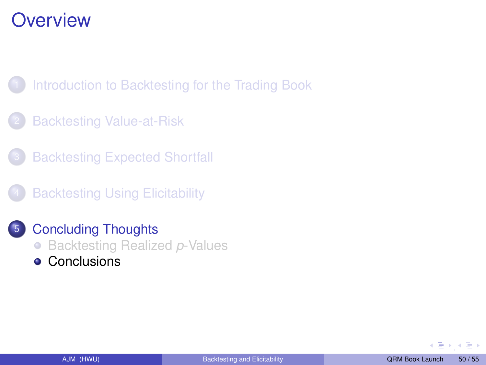<span id="page-49-0"></span>[Introduction to Backtesting for the Trading Book](#page-2-0)

- **[Backtesting Value-at-Risk](#page-9-0)**
- **[Backtesting Expected Shortfall](#page-17-0)**
- **[Backtesting Using Elicitability](#page-35-0)**
- <sup>5</sup> [Concluding Thoughts](#page-46-0) **• [Backtesting Realized](#page-46-0) p-Values** 
	- [Conclusions](#page-49-0)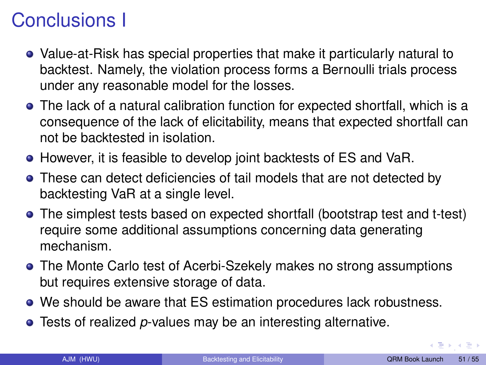# Conclusions I

- Value-at-Risk has special properties that make it particularly natural to backtest. Namely, the violation process forms a Bernoulli trials process under any reasonable model for the losses.
- The lack of a natural calibration function for expected shortfall, which is a consequence of the lack of elicitability, means that expected shortfall can not be backtested in isolation.
- However, it is feasible to develop joint backtests of ES and VaR.
- These can detect deficiencies of tail models that are not detected by backtesting VaR at a single level.
- The simplest tests based on expected shortfall (bootstrap test and t-test) require some additional assumptions concerning data generating mechanism.
- The Monte Carlo test of Acerbi-Szekely makes no strong assumptions but requires extensive storage of data.
- We should be aware that ES estimation procedures lack robustness.
- Tests of realized *p*-values may be an interesting alternative.

 $\longleftrightarrow$  [,](#page-48-0)  $\bot$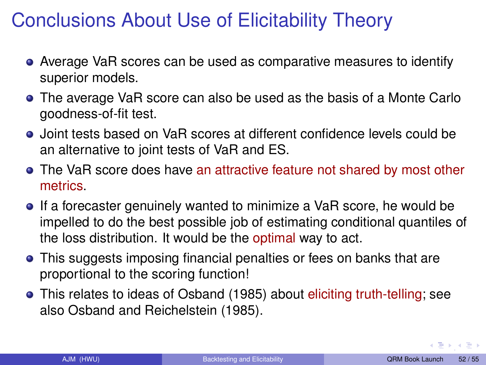# Conclusions About Use of Elicitability Theory

- Average VaR scores can be used as comparative measures to identify superior models.
- The average VaR score can also be used as the basis of a Monte Carlo goodness-of-fit test.
- Joint tests based on VaR scores at different confidence levels could be an alternative to joint tests of VaR and ES.
- The VaR score does have an attractive feature not shared by most other metrics.
- **If a forecaster genuinely wanted to minimize a VaR score, he would be** impelled to do the best possible job of estimating conditional quantiles of the loss distribution. It would be the optimal way to act.
- This suggests imposing financial penalties or fees on banks that are proportional to the scoring function!
- This relates to ideas of Osband (1985) about eliciting truth-telling; see also Osband and Reichelstein (1985).

[,](#page-48-0)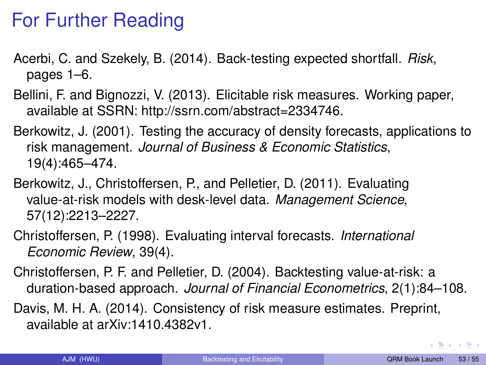# For Further Reading

- Acerbi, C. and Szekely, B. (2014). Back-testing expected shortfall. *Risk*, pages 1–6.
- Bellini, F. and Bignozzi, V. (2013). Elicitable risk measures. Working paper, available at SSRN: http://ssrn.com/abstract=2334746.
- Berkowitz, J. (2001). Testing the accuracy of density forecasts, applications to risk management. *Journal of Business & Economic Statistics*, 19(4):465–474.
- Berkowitz, J., Christoffersen, P., and Pelletier, D. (2011). Evaluating value-at-risk models with desk-level data. *Management Science*, 57(12):2213–2227.
- Christoffersen, P. (1998). Evaluating interval forecasts. *International Economic Review*, 39(4).
- Christoffersen, P. F. and Pelletier, D. (2004). Backtesting value-at-risk: a duration-based approach. *Journal of Financial Econometrics*, 2(1):84–108.
- Davis, M. H. A. (2014). Consistency of risk measure estimates. Preprint, available at arXiv:1410.4382v1.

[,](#page-48-0)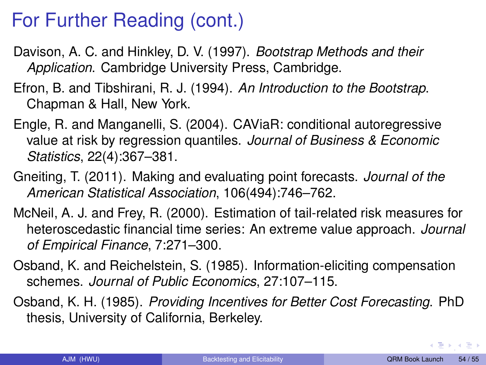# For Further Reading (cont.)

- Davison, A. C. and Hinkley, D. V. (1997). *Bootstrap Methods and their Application*. Cambridge University Press, Cambridge.
- Efron, B. and Tibshirani, R. J. (1994). *An Introduction to the Bootstrap*. Chapman & Hall, New York.
- Engle, R. and Manganelli, S. (2004). CAViaR: conditional autoregressive value at risk by regression quantiles. *Journal of Business & Economic Statistics*, 22(4):367–381.
- Gneiting, T. (2011). Making and evaluating point forecasts. *Journal of the American Statistical Association*, 106(494):746–762.
- McNeil, A. J. and Frey, R. (2000). Estimation of tail-related risk measures for heteroscedastic financial time series: An extreme value approach. *Journal of Empirical Finance*, 7:271–300.
- Osband, K. and Reichelstein, S. (1985). Information-eliciting compensation schemes. *Journal of Public Economics*, 27:107–115.
- Osband, K. H. (1985). *Providing Incentives for Better Cost Forecasting*. PhD thesis, University of California, Berkeley.

∢ 등 ▶ . < 등 ▶